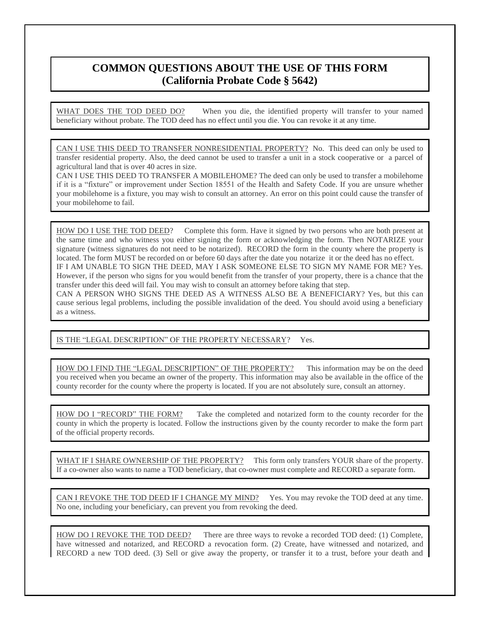## **COMMON QUESTIONS ABOUT THE USE OF THIS FORM (California Probate Code § 5642)**

WHAT DOES THE TOD DEED DO? When you die, the identified property will transfer to your named beneficiary without probate. The TOD deed has no effect until you die. You can revoke it at any time.

CAN I USE THIS DEED TO TRANSFER NONRESIDENTIAL PROPERTY? No. This deed can only be used to transfer residential property. Also, the deed cannot be used to transfer a unit in a stock cooperative or a parcel of agricultural land that is over 40 acres in size.

CAN I USE THIS DEED TO TRANSFER A MOBILEHOME? The deed can only be used to transfer a mobilehome if it is a "fixture" or improvement under Section 18551 of the Health and Safety Code. If you are unsure whether your mobilehome is a fixture, you may wish to consult an attorney. An error on this point could cause the transfer of your mobilehome to fail.

HOW DO I USE THE TOD DEED? Complete this form. Have it signed by two persons who are both present at the same time and who witness you either signing the form or acknowledging the form. Then NOTARIZE your signature (witness signatures do not need to be notarized). RECORD the form in the county where the property is located. The form MUST be recorded on or before 60 days after the date you notarize it or the deed has no effect. IF I AM UNABLE TO SIGN THE DEED, MAY I ASK SOMEONE ELSE TO SIGN MY NAME FOR ME? Yes. However, if the person who signs for you would benefit from the transfer of your property, there is a chance that the transfer under this deed will fail. You may wish to consult an attorney before taking that step. CAN A PERSON WHO SIGNS THE DEED AS A WITNESS ALSO BE A BENEFICIARY? Yes, but this can cause serious legal problems, including the possible invalidation of the deed. You should avoid using a beneficiary as a witness.

IS THE "LEGAL DESCRIPTION" OF THE PROPERTY NECESSARY? Yes.

HOW DO I FIND THE "LEGAL DESCRIPTION" OF THE PROPERTY? This information may be on the deed you received when you became an owner of the property. This information may also be available in the office of the county recorder for the county where the property is located. If you are not absolutely sure, consult an attorney.

HOW DO I "RECORD" THE FORM? Take the completed and notarized form to the county recorder for the county in which the property is located. Follow the instructions given by the county recorder to make the form part of the official property records.

WHAT IF I SHARE OWNERSHIP OF THE PROPERTY? This form only transfers YOUR share of the property. If a co-owner also wants to name a TOD beneficiary, that co-owner must complete and RECORD a separate form.

CAN I REVOKE THE TOD DEED IF I CHANGE MY MIND? Yes. You may revoke the TOD deed at any time. No one, including your beneficiary, can prevent you from revoking the deed.

HOW DO I REVOKE THE TOD DEED? There are three ways to revoke a recorded TOD deed: (1) Complete, have witnessed and notarized, and RECORD a revocation form. (2) Create, have witnessed and notarized, and RECORD a new TOD deed. (3) Sell or give away the property, or transfer it to a trust, before your death and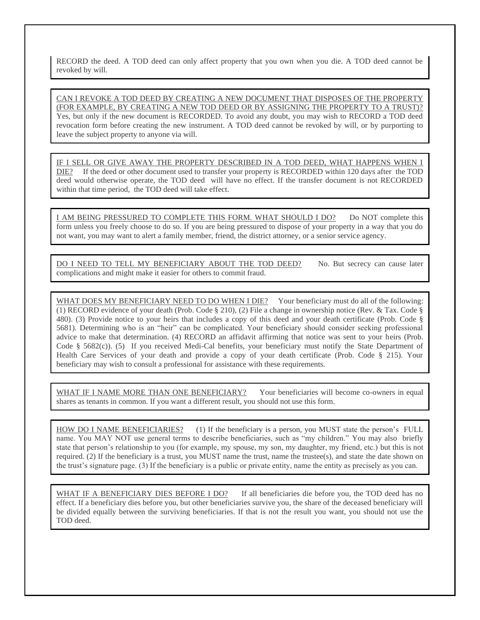RECORD the deed. A TOD deed can only affect property that you own when you die. A TOD deed cannot be revoked by will.

## CAN I REVOKE A TOD DEED BY CREATING A NEW DOCUMENT THAT DISPOSES OF THE PROPERTY (FOR EXAMPLE, BY CREATING A NEW TOD DEED OR BY ASSIGNING THE PROPERTY TO A TRUST)?

Yes, but only if the new document is RECORDED. To avoid any doubt, you may wish to RECORD a TOD deed revocation form before creating the new instrument. A TOD deed cannot be revoked by will, or by purporting to leave the subject property to anyone via will.

IF I SELL OR GIVE AWAY THE PROPERTY DESCRIBED IN A TOD DEED, WHAT HAPPENS WHEN I DIE? If the deed or other document used to transfer your property is RECORDED within 120 days after the TOD deed would otherwise operate, the TOD deed will have no effect. If the transfer document is not RECORDED within that time period, the TOD deed will take effect.

I AM BEING PRESSURED TO COMPLETE THIS FORM. WHAT SHOULD I DO? Do NOT complete this form unless you freely choose to do so. If you are being pressured to dispose of your property in a way that you do not want, you may want to alert a family member, friend, the district attorney, or a senior service agency.

DO I NEED TO TELL MY BENEFICIARY ABOUT THE TOD DEED? No. But secrecy can cause later complications and might make it easier for others to commit fraud.

WHAT DOES MY BENEFICIARY NEED TO DO WHEN I DIE? Your beneficiary must do all of the following: (1) RECORD evidence of your death (Prob. Code § 210), (2) File a change in ownership notice (Rev. & Tax. Code § 480). (3) Provide notice to your heirs that includes a copy of this deed and your death certificate (Prob. Code § 5681). Determining who is an "heir" can be complicated. Your beneficiary should consider seeking professional advice to make that determination. (4) RECORD an affidavit affirming that notice was sent to your heirs (Prob. Code § 5682(c)). (5) If you received Medi-Cal benefits, your beneficiary must notify the State Department of Health Care Services of your death and provide a copy of your death certificate (Prob. Code § 215). Your beneficiary may wish to consult a professional for assistance with these requirements.

WHAT IF I NAME MORE THAN ONE BENEFICIARY? Your beneficiaries will become co-owners in equal shares as tenants in common. If you want a different result, you should not use this form.

HOW DO I NAME BENEFICIARIES? (1) If the beneficiary is a person, you MUST state the person's FULL name. You MAY NOT use general terms to describe beneficiaries, such as "my children." You may also briefly state that person's relationship to you (for example, my spouse, my son, my daughter, my friend, etc.) but this is not required. (2) If the beneficiary is a trust, you MUST name the trust, name the trustee(s), and state the date shown on the trust's signature page. (3) If the beneficiary is a public or private entity, name the entity as precisely as you can.

WHAT IF A BENEFICIARY DIES BEFORE I DO? If all beneficiaries die before you, the TOD deed has no effect. If a beneficiary dies before you, but other beneficiaries survive you, the share of the deceased beneficiary will be divided equally between the surviving beneficiaries. If that is not the result you want, you should not use the TOD deed.